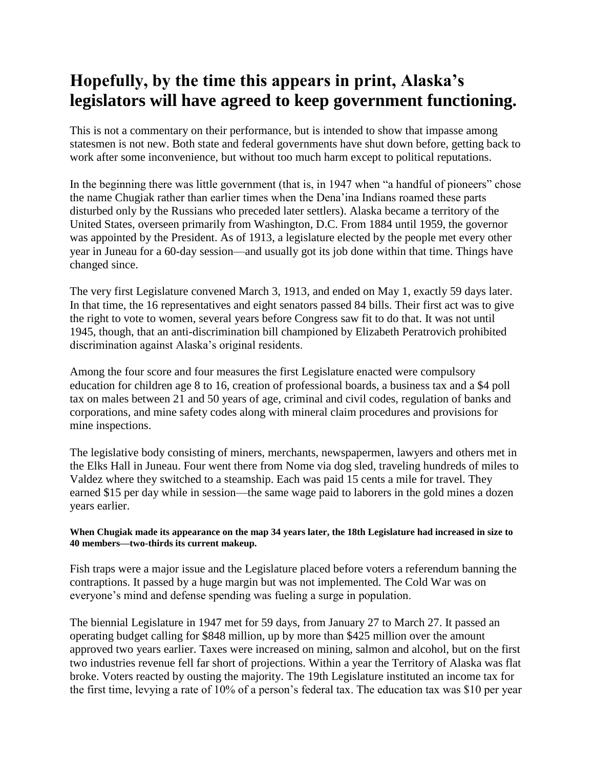## **Hopefully, by the time this appears in print, Alaska's legislators will have agreed to keep government functioning.**

This is not a commentary on their performance, but is intended to show that impasse among statesmen is not new. Both state and federal governments have shut down before, getting back to work after some inconvenience, but without too much harm except to political reputations.

In the beginning there was little government (that is, in 1947 when "a handful of pioneers" chose the name Chugiak rather than earlier times when the Dena'ina Indians roamed these parts disturbed only by the Russians who preceded later settlers). Alaska became a territory of the United States, overseen primarily from Washington, D.C. From 1884 until 1959, the governor was appointed by the President. As of 1913, a legislature elected by the people met every other year in Juneau for a 60-day session—and usually got its job done within that time. Things have changed since.

The very first Legislature convened March 3, 1913, and ended on May 1, exactly 59 days later. In that time, the 16 representatives and eight senators passed 84 bills. Their first act was to give the right to vote to women, several years before Congress saw fit to do that. It was not until 1945, though, that an anti-discrimination bill championed by Elizabeth Peratrovich prohibited discrimination against Alaska's original residents.

Among the four score and four measures the first Legislature enacted were compulsory education for children age 8 to 16, creation of professional boards, a business tax and a \$4 poll tax on males between 21 and 50 years of age, criminal and civil codes, regulation of banks and corporations, and mine safety codes along with mineral claim procedures and provisions for mine inspections.

The legislative body consisting of miners, merchants, newspapermen, lawyers and others met in the Elks Hall in Juneau. Four went there from Nome via dog sled, traveling hundreds of miles to Valdez where they switched to a steamship. Each was paid 15 cents a mile for travel. They earned \$15 per day while in session—the same wage paid to laborers in the gold mines a dozen years earlier.

## **When Chugiak made its appearance on the map 34 years later, the 18th Legislature had increased in size to 40 members—two-thirds its current makeup.**

Fish traps were a major issue and the Legislature placed before voters a referendum banning the contraptions. It passed by a huge margin but was not implemented. The Cold War was on everyone's mind and defense spending was fueling a surge in population.

The biennial Legislature in 1947 met for 59 days, from January 27 to March 27. It passed an operating budget calling for \$848 million, up by more than \$425 million over the amount approved two years earlier. Taxes were increased on mining, salmon and alcohol, but on the first two industries revenue fell far short of projections. Within a year the Territory of Alaska was flat broke. Voters reacted by ousting the majority. The 19th Legislature instituted an income tax for the first time, levying a rate of 10% of a person's federal tax. The education tax was \$10 per year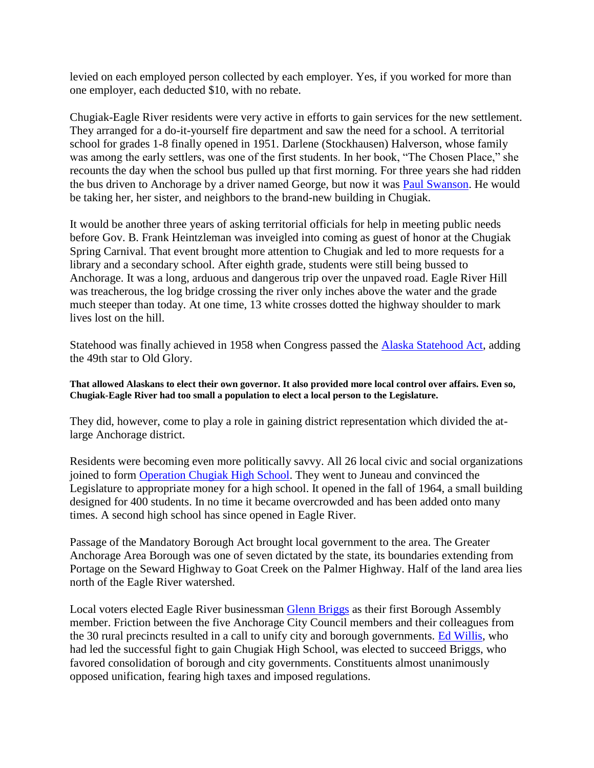levied on each employed person collected by each employer. Yes, if you worked for more than one employer, each deducted \$10, with no rebate.

Chugiak-Eagle River residents were very active in efforts to gain services for the new settlement. They arranged for a do-it-yourself fire department and saw the need for a school. A territorial school for grades 1-8 finally opened in 1951. Darlene (Stockhausen) Halverson, whose family was among the early settlers, was one of the first students. In her book, "The Chosen Place," she recounts the day when the school bus pulled up that first morning. For three years she had ridden the bus driven to Anchorage by a driver named George, but now it was [Paul Swanson.](https://www.echoak.com/2016/12/chugiak-postmaster-paul-swanson-remembered/) He would be taking her, her sister, and neighbors to the brand-new building in Chugiak.

It would be another three years of asking territorial officials for help in meeting public needs before Gov. B. Frank Heintzleman was inveigled into coming as guest of honor at the Chugiak Spring Carnival. That event brought more attention to Chugiak and led to more requests for a library and a secondary school. After eighth grade, students were still being bussed to Anchorage. It was a long, arduous and dangerous trip over the unpaved road. Eagle River Hill was treacherous, the log bridge crossing the river only inches above the water and the grade much steeper than today. At one time, 13 white crosses dotted the highway shoulder to mark lives lost on the hill.

Statehood was finally achieved in 1958 when Congress passed the [Alaska Statehood Act,](https://www.echoak.com/2017/06/alaska-statehood/) adding the 49th star to Old Glory.

**That allowed Alaskans to elect their own governor. It also provided more local control over affairs. Even so, Chugiak-Eagle River had too small a population to elect a local person to the Legislature.**

They did, however, come to play a role in gaining district representation which divided the atlarge Anchorage district.

Residents were becoming even more politically savvy. All 26 local civic and social organizations joined to form [Operation Chugiak High School.](https://www.echoak.com/2017/02/27-groups-gain-high-school/) They went to Juneau and convinced the Legislature to appropriate money for a high school. It opened in the fall of 1964, a small building designed for 400 students. In no time it became overcrowded and has been added onto many times. A second high school has since opened in Eagle River.

Passage of the Mandatory Borough Act brought local government to the area. The Greater Anchorage Area Borough was one of seven dictated by the state, its boundaries extending from Portage on the Seward Highway to Goat Creek on the Palmer Highway. Half of the land area lies north of the Eagle River watershed.

Local voters elected Eagle River businessman [Glenn Briggs](https://www.echoak.com/2016/11/glenn-briggs-community-benefactor/) as their first Borough Assembly member. Friction between the five Anchorage City Council members and their colleagues from the 30 rural precincts resulted in a call to unify city and borough governments. [Ed Willis,](https://www.echoak.com/2016/11/ed-willis-early-chugiak-eagle-river-leader/) who had led the successful fight to gain Chugiak High School, was elected to succeed Briggs, who favored consolidation of borough and city governments. Constituents almost unanimously opposed unification, fearing high taxes and imposed regulations.